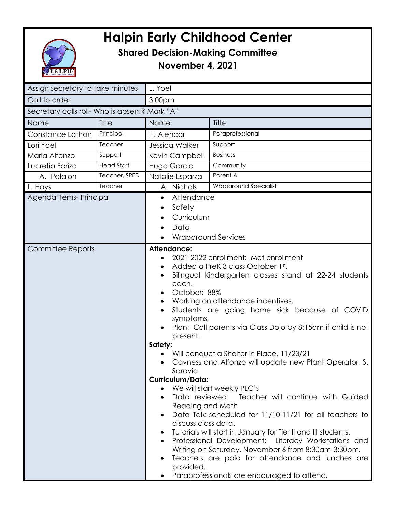

## **Halpin Early Childhood Center**

## **Shared Decision-Making Committee**

**November 4, 2021**

| Assign secretary to take minutes              |                   | L. Yoel                                                                                                                                                                                                                                                                                                                                                                                                                                                                                                                                                                                                                                                                                                                                                                                                                                                                                                                                                                                                                      |                       |  |
|-----------------------------------------------|-------------------|------------------------------------------------------------------------------------------------------------------------------------------------------------------------------------------------------------------------------------------------------------------------------------------------------------------------------------------------------------------------------------------------------------------------------------------------------------------------------------------------------------------------------------------------------------------------------------------------------------------------------------------------------------------------------------------------------------------------------------------------------------------------------------------------------------------------------------------------------------------------------------------------------------------------------------------------------------------------------------------------------------------------------|-----------------------|--|
| Call to order                                 |                   | 3:00pm                                                                                                                                                                                                                                                                                                                                                                                                                                                                                                                                                                                                                                                                                                                                                                                                                                                                                                                                                                                                                       |                       |  |
| Secretary calls roll- Who is absent? Mark "A" |                   |                                                                                                                                                                                                                                                                                                                                                                                                                                                                                                                                                                                                                                                                                                                                                                                                                                                                                                                                                                                                                              |                       |  |
| Name                                          | Title             | Name                                                                                                                                                                                                                                                                                                                                                                                                                                                                                                                                                                                                                                                                                                                                                                                                                                                                                                                                                                                                                         | Title                 |  |
| Constance Lathan                              | Principal         | H. Alencar                                                                                                                                                                                                                                                                                                                                                                                                                                                                                                                                                                                                                                                                                                                                                                                                                                                                                                                                                                                                                   | Paraprofessional      |  |
| Lori Yoel                                     | Teacher           | Jessica Walker                                                                                                                                                                                                                                                                                                                                                                                                                                                                                                                                                                                                                                                                                                                                                                                                                                                                                                                                                                                                               | Support               |  |
| Maria Alfonzo                                 | Support           | Kevin Campbell                                                                                                                                                                                                                                                                                                                                                                                                                                                                                                                                                                                                                                                                                                                                                                                                                                                                                                                                                                                                               | <b>Business</b>       |  |
| Lucretia Fariza                               | <b>Head Start</b> | Hugo Garcia                                                                                                                                                                                                                                                                                                                                                                                                                                                                                                                                                                                                                                                                                                                                                                                                                                                                                                                                                                                                                  | Community             |  |
| A. Palalon                                    | Teacher, SPED     | Natalie Esparza                                                                                                                                                                                                                                                                                                                                                                                                                                                                                                                                                                                                                                                                                                                                                                                                                                                                                                                                                                                                              | Parent A              |  |
| L. Hays                                       | Teacher           | A. Nichols                                                                                                                                                                                                                                                                                                                                                                                                                                                                                                                                                                                                                                                                                                                                                                                                                                                                                                                                                                                                                   | Wraparound Specialist |  |
| Agenda items-Principal                        |                   | Attendance<br>$\bullet$<br>Safety<br>٠<br>Curriculum<br>Data<br><b>Wraparound Services</b>                                                                                                                                                                                                                                                                                                                                                                                                                                                                                                                                                                                                                                                                                                                                                                                                                                                                                                                                   |                       |  |
| <b>Committee Reports</b>                      |                   | Attendance:<br>2021-2022 enrollment: Met enrollment<br>Added a PreK 3 class October 1st.<br>Bilingual Kindergarten classes stand at 22-24 students<br>each.<br>October: 88%<br>Working on attendance incentives.<br>Students are going home sick because of COVID<br>symptoms.<br>Plan: Call parents via Class Dojo by 8:15am if child is not<br>present.<br>Safety:<br>Will conduct a Shelter in Place, 11/23/21<br>Cavness and Alfonzo will update new Plant Operator, S.<br>Saravia.<br>Curriculum/Data:<br>We will start weekly PLC's<br>Data reviewed: Teacher will continue with Guided<br>Reading and Math<br>Data Talk scheduled for 11/10-11/21 for all teachers to<br>discuss class data.<br>Tutorials will start in January for Tier II and III students.<br>Professional Development: Literacy Workstations and<br>$\bullet$<br>Writing on Saturday, November 6 from 8:30am-3:30pm.<br>Teachers are paid for attendance and lunches are<br>$\bullet$<br>provided.<br>Paraprofessionals are encouraged to attend. |                       |  |